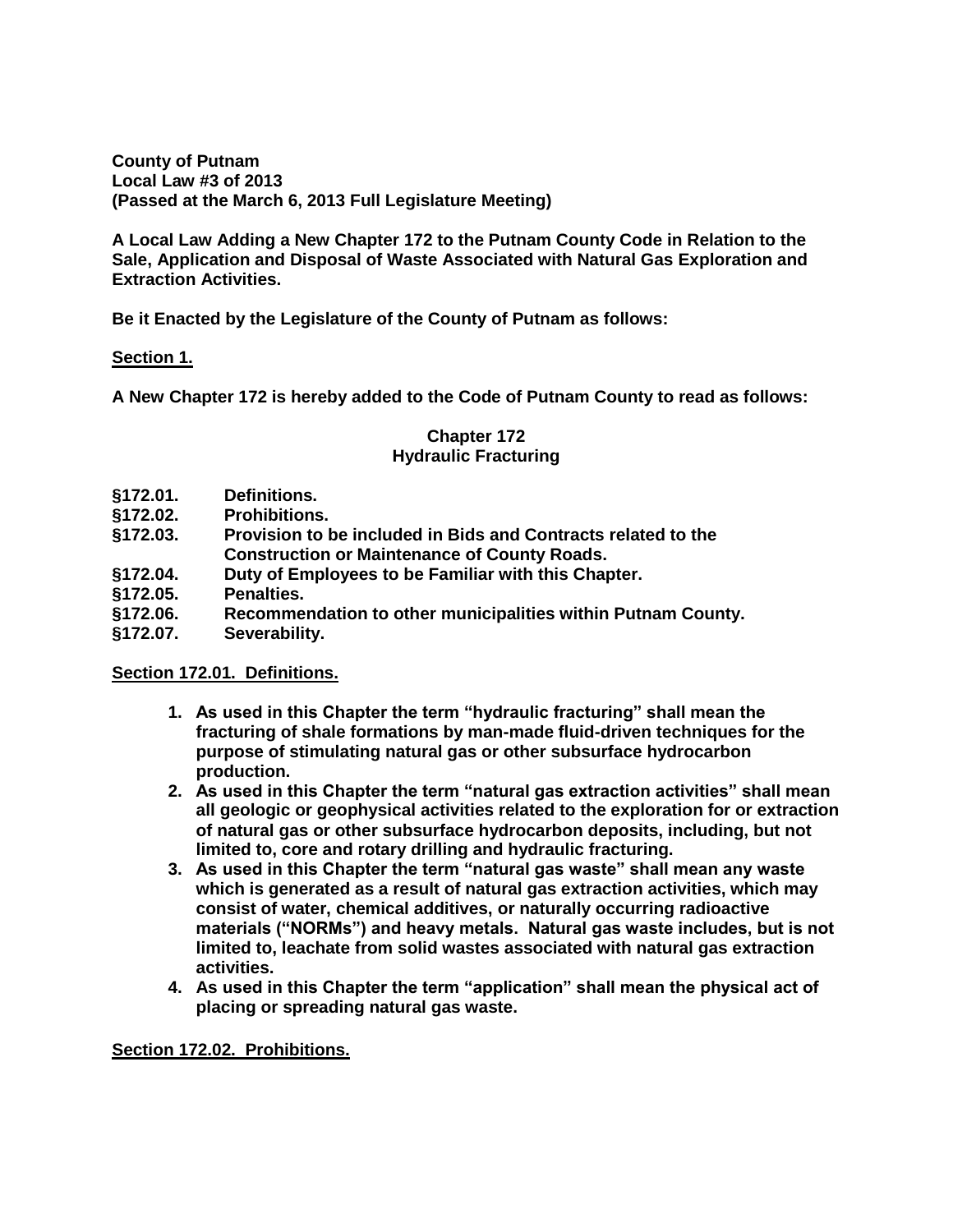**County of Putnam Local Law #3 of 2013 (Passed at the March 6, 2013 Full Legislature Meeting)**

**A Local Law Adding a New Chapter 172 to the Putnam County Code in Relation to the Sale, Application and Disposal of Waste Associated with Natural Gas Exploration and Extraction Activities.**

**Be it Enacted by the Legislature of the County of Putnam as follows:**

### **Section 1.**

**A New Chapter 172 is hereby added to the Code of Putnam County to read as follows:**

### **Chapter 172 Hydraulic Fracturing**

- **§172.01. Definitions.**
- **§172.02. Prohibitions.**
- **§172.03. Provision to be included in Bids and Contracts related to the Construction or Maintenance of County Roads.**
- **§172.04. Duty of Employees to be Familiar with this Chapter.**
- **§172.05. Penalties.**
- **§172.06. Recommendation to other municipalities within Putnam County.**
- **§172.07. Severability.**

#### **Section 172.01. Definitions.**

- **1. As used in this Chapter the term "hydraulic fracturing" shall mean the fracturing of shale formations by man-made fluid-driven techniques for the purpose of stimulating natural gas or other subsurface hydrocarbon production.**
- **2. As used in this Chapter the term "natural gas extraction activities" shall mean all geologic or geophysical activities related to the exploration for or extraction of natural gas or other subsurface hydrocarbon deposits, including, but not limited to, core and rotary drilling and hydraulic fracturing.**
- **3. As used in this Chapter the term "natural gas waste" shall mean any waste which is generated as a result of natural gas extraction activities, which may consist of water, chemical additives, or naturally occurring radioactive materials ("NORMs") and heavy metals. Natural gas waste includes, but is not limited to, leachate from solid wastes associated with natural gas extraction activities.**
- **4. As used in this Chapter the term "application" shall mean the physical act of placing or spreading natural gas waste.**

**Section 172.02. Prohibitions.**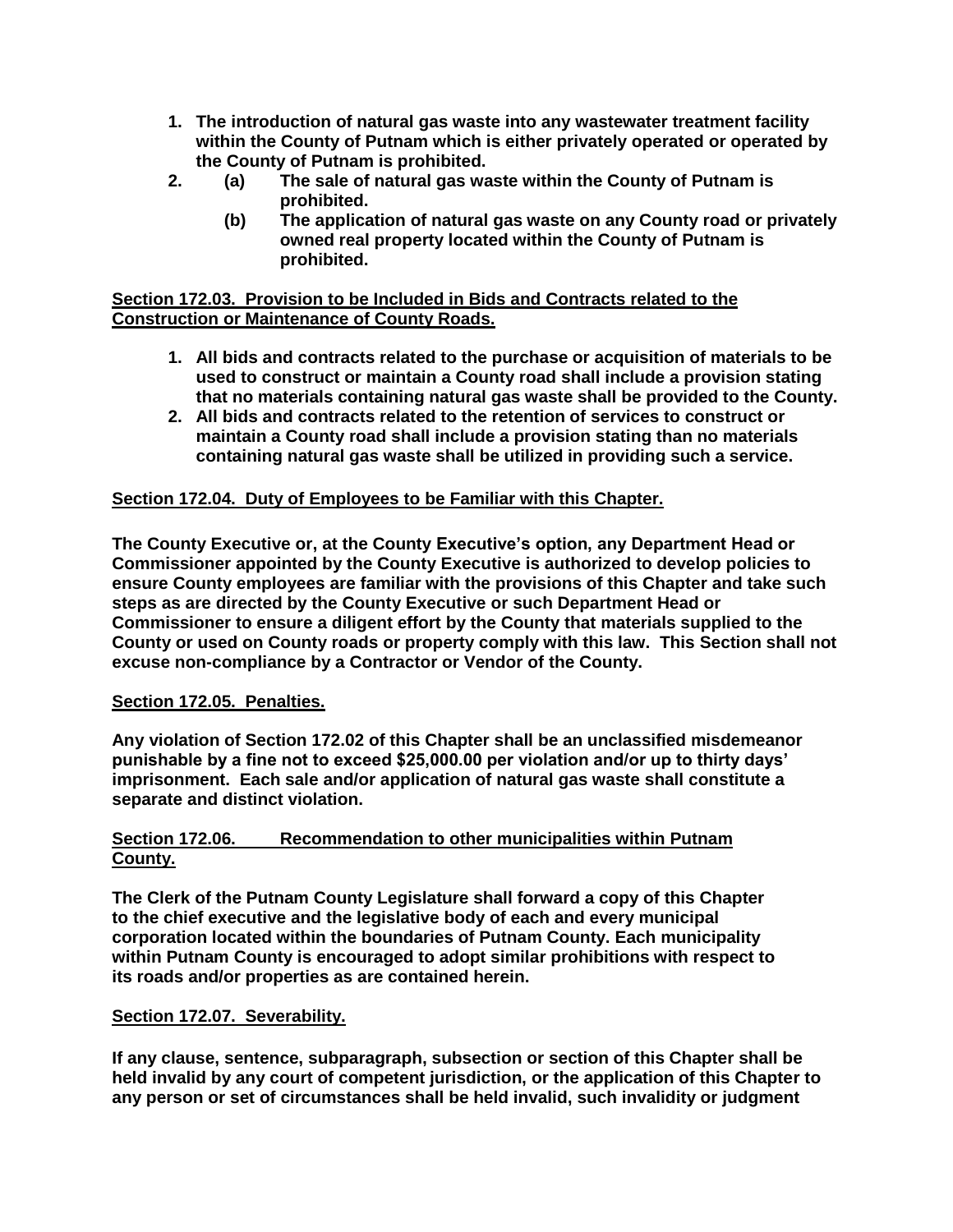- **1. The introduction of natural gas waste into any wastewater treatment facility within the County of Putnam which is either privately operated or operated by the County of Putnam is prohibited.**
- **2. (a) The sale of natural gas waste within the County of Putnam is prohibited.**
	- **(b) The application of natural gas waste on any County road or privately owned real property located within the County of Putnam is prohibited.**

## **Section 172.03. Provision to be Included in Bids and Contracts related to the Construction or Maintenance of County Roads.**

- **1. All bids and contracts related to the purchase or acquisition of materials to be used to construct or maintain a County road shall include a provision stating that no materials containing natural gas waste shall be provided to the County.**
- **2. All bids and contracts related to the retention of services to construct or maintain a County road shall include a provision stating than no materials containing natural gas waste shall be utilized in providing such a service.**

# **Section 172.04. Duty of Employees to be Familiar with this Chapter.**

**The County Executive or, at the County Executive's option, any Department Head or Commissioner appointed by the County Executive is authorized to develop policies to ensure County employees are familiar with the provisions of this Chapter and take such steps as are directed by the County Executive or such Department Head or Commissioner to ensure a diligent effort by the County that materials supplied to the County or used on County roads or property comply with this law. This Section shall not excuse non-compliance by a Contractor or Vendor of the County.**

## **Section 172.05. Penalties.**

**Any violation of Section 172.02 of this Chapter shall be an unclassified misdemeanor punishable by a fine not to exceed \$25,000.00 per violation and/or up to thirty days' imprisonment. Each sale and/or application of natural gas waste shall constitute a separate and distinct violation.**

### **Section 172.06. Recommendation to other municipalities within Putnam County.**

**The Clerk of the Putnam County Legislature shall forward a copy of this Chapter to the chief executive and the legislative body of each and every municipal corporation located within the boundaries of Putnam County. Each municipality within Putnam County is encouraged to adopt similar prohibitions with respect to its roads and/or properties as are contained herein.** 

#### **Section 172.07. Severability.**

**If any clause, sentence, subparagraph, subsection or section of this Chapter shall be held invalid by any court of competent jurisdiction, or the application of this Chapter to any person or set of circumstances shall be held invalid, such invalidity or judgment**